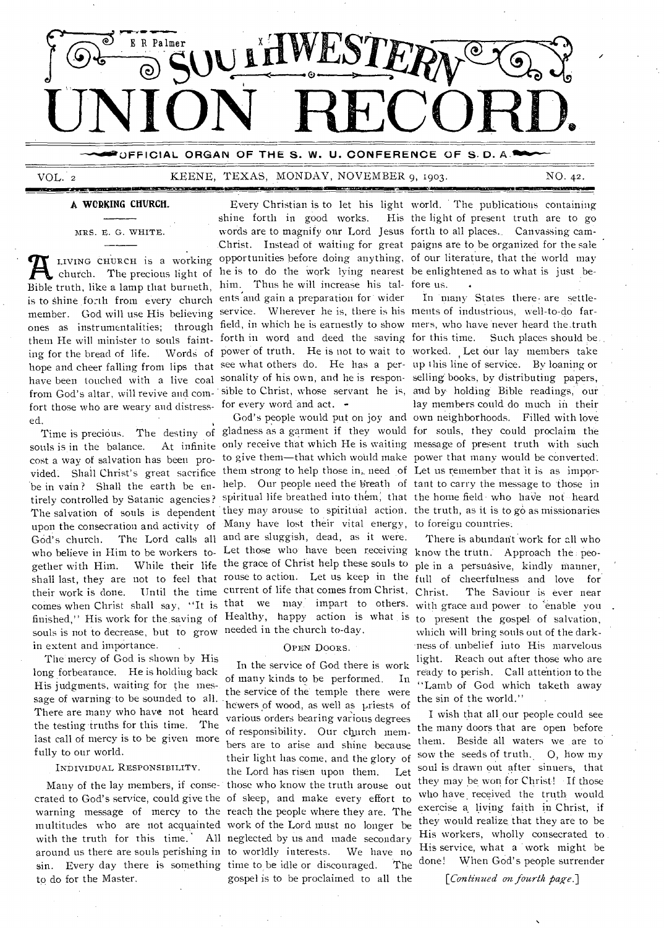

**OFFICIAL ORGAN OF THE S. W. U. CONFERENCE OF S.D. A.** 

### VOL. 2 KEENE, TEXAS, MONDAY, NOVEMBER 9, 1903. **.01•11NIMER 2,111MIMMID**

NO. 42 .

**A WORKING CHURCH.** 

Bible truth, like a lamp that burneth, him. Thus he will increase his tal- fore us. is to Shine forth from every church ents and gain a preparation for wider member. God will use His believing service. Wherever he is, there is his ments of industrious, well-to-do farthem He will minister to souls fainting for the bread of life. fort those who are weary and distress- for every word and act. ed.

souls is in the balance. vided. Shall Christ's great sacrifice them strong to help those in, need of Let us remember that it is as imporupon the consecration and activity of Many have lost their vital energy, to foreign countries. God's church. The Lord calls all and are sluggish, dead, as it were. gether with Him. While their life the grace of Christ help these souls to their work is done. Until the time current of life that comes from Christ, souls is not to decrease, but to grow needed in the church to-day. in extent and importance.

The' mercy of God is shown by His long forbearance. He is holding back His judgments, waiting for the mes-. sage of warning to be sounded to all. There are many who have not heard the testing truths for this time. The last call of mercy is to be given more fully to our world.

### INDIVIDUAL RESPONSIBILITY.

crated to God's service, could give the of sleep, and make every effort to warning message of mercy to the reach the people where they are. The multitudes who are not acquainted work of the Lord must no longer be with the truth for this time. around us there are souls perishing in to worldly interests. We have no to do for the Master.

forth in word and deed the saving for this time. Such places should

who believe in Him to be workers to. Let those who have been receiving know the truth. Approach the peo-

### OPEN DOORS.

Many of the lay members, if conse-those who know the truth arouse out sin. Every day there is something time to be idle or discouraged. The In the service of God there is work of many kinds to be performed. In the service of the temple there were hewers of wood, as well as priests of various orders bearing various degrees of responsibility. Our church members are to arise and shine because their light has come, and the glory of the Lord has risen upon them. Let All neglected by us and made secondary gospel is to be proclaimed to all the

Every Christian is to let his light world. The publications containing shine forth in good works. His the light of present truth are to go mRs. E. G. WHITE. words are to magnify our Lord Jesus forth to all places... Canvassing cam-Christ. Instead of waiting for great paigns are to be organized for the sale LIVING CHURCH is a working opportunities before doing anything, of our literature, that the world may church. The precious light of he is to do the work lying nearest be enlightened as to what is just be-

ones as instrumentalities; through field, in which he is earnestly to show mers, who have never heard the truth hope and cheer falling from lips that see what others do. He has a per- up this line of service. By loaning or have been touched with a live coal sonality of his own, and he is respon-selling books, by distributing papers, from God's altar, will revive and com-'sible to Christ, whose servant he is, and by holding Bible readings, our Time is precious. The destiny of gladness as a garment if they would for souls, they could proclaim the cost a way of salvation has been pro- to give them—that which would make power that many would be converted. be in vain? Shall the earth be en- help. Our people need the breath of tant to carry the message to those in tirely controlled by Satanic agencies? spiritual life breathed into them, that the home field who have not heard The salvation of souls is dependent they may arouse to spiritual action. the truth, as it is to go as missionaries In many States there• are settlepower of truth. He is not to wait to worked. Let our lay members take lay members could do much in their God's people would put on joy and own neighborhoods. Filled with love only receive that which He is waiting message of present truth with such

shall last, they are not to feel that rouse to action. Let us keep in the full of cheerfulness and love for comes when Christ shall say, "It is that we may impart to others. with grace and power to enable you finished," His work for the saving of Healthy, happy action is what is to present the gospel- of salvation, There is abundant work for all who ple in a persuasive, kindly manner, The Saviour is ever near which will bring souls out of the darkness of unbelief into His marvelous light. Reach out after those who are ready to perish. Call attention to the "Lamb of God which taketh away the sin of the world."

> I wish that all our people could see the many doors. that are open before them. Beside all waters we are to sow the seeds of truth. O, how my soul is drawn out after sinners, that they may be won for Christ! If those who have received the truth would exercise a living faith in Christ, if they would realize that they are to be His workers, wholly consecrated to His service, what a 'work might be<br>done! When God's people surrender When God's people surrender

> > *[Continued on fourth page.]*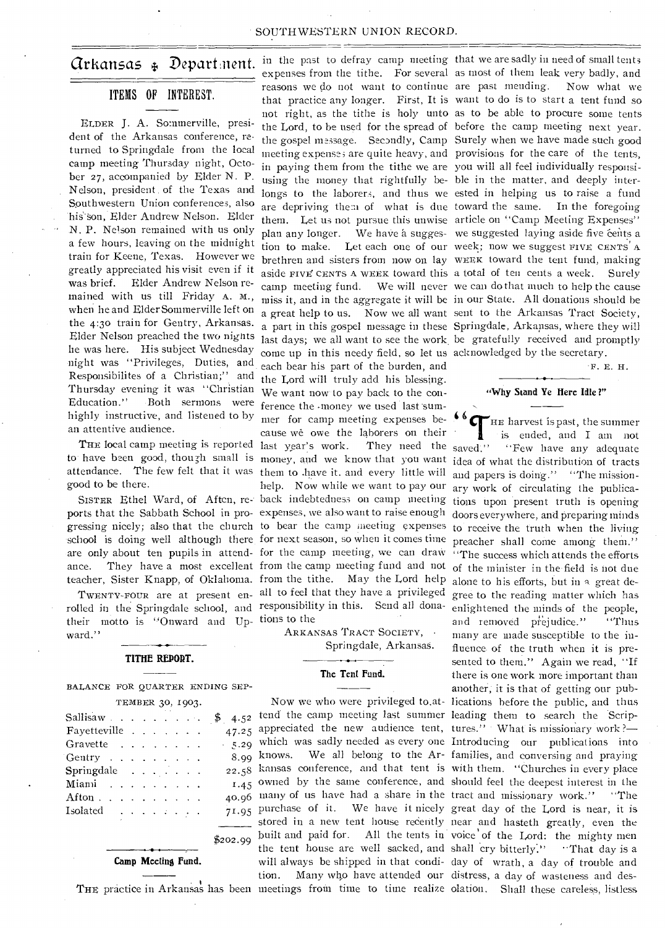### SOUTHWESTERN UNION RECORD.

## **Grkansas**  $\oint$  **Depart nent**. in the past to defray camp meeting that we are sadly in need of small tents

### ITEMS OF INTEREST.

ELDER **J.** A. Sommerville, president of the Arkansas conference, returned to Springdale from the local camp meeting Thursday night, October 27, accompanied by Elder N. P. Nelson, president . of the Texas and Southwestern Union conferences, also his son, Elder Andrew Nelson. Elder N. P. Nelson remained with us only a few hours, leaving on the midnight train for Keene, Texas. However we greatly appreciated his visit even if it was brief. Elder Andrew Nelson remained with us till Friday A. M., when he and Elder Sommerville left on the 4:3o train for Gentry, Arkansas. Elder Nelson preached the two nights he was here. His subject Wednesday night was "Privileges, Duties, and Responsibilites of a Christian;" and Thursday evening it was "Christian We want now-to pay back to the con-Education." Both sermons were highly instructive, and listened to by an attentive audience.

THE local camp meeting is reported last year's work. good to be there.

rolled in the Springdale school, and responsibility in this. Send all donatheir motto is "Onward and Up-tions to the ward."

### **TITHE REPORT.**

BALANCE FOR QUARTER ENDING SEP-

| TEMBER 30, 1903. |  |  |  |
|------------------|--|--|--|
|------------------|--|--|--|

| $Sallisaw$                        |                                                                                                                                                                                                                                                                                                                                                                                                                                                                                       |  |             |  | \$<br>4.52 |
|-----------------------------------|---------------------------------------------------------------------------------------------------------------------------------------------------------------------------------------------------------------------------------------------------------------------------------------------------------------------------------------------------------------------------------------------------------------------------------------------------------------------------------------|--|-------------|--|------------|
| Favetteville                      | $\mathbf{1}$ and $\mathbf{1}$ and $\mathbf{1}$                                                                                                                                                                                                                                                                                                                                                                                                                                        |  |             |  | 47.25      |
| Gravette                          |                                                                                                                                                                                                                                                                                                                                                                                                                                                                                       |  |             |  | 5.29       |
| Gentry $\ldots$ $\ldots$ $\ldots$ |                                                                                                                                                                                                                                                                                                                                                                                                                                                                                       |  |             |  | 8.99       |
| $Springdale \dots \dots \dots$    |                                                                                                                                                                                                                                                                                                                                                                                                                                                                                       |  |             |  | 22.58      |
| Mianii                            | and a strain of the state of the                                                                                                                                                                                                                                                                                                                                                                                                                                                      |  |             |  | 1.45       |
| Afton .                           |                                                                                                                                                                                                                                                                                                                                                                                                                                                                                       |  | and a state |  | 40.96      |
| Isolated                          | $\mathbf{1} \quad \mathbf{1} \quad \mathbf{1} \quad \mathbf{1} \quad \mathbf{1} \quad \mathbf{1} \quad \mathbf{1} \quad \mathbf{1} \quad \mathbf{1} \quad \mathbf{1} \quad \mathbf{1} \quad \mathbf{1} \quad \mathbf{1} \quad \mathbf{1} \quad \mathbf{1} \quad \mathbf{1} \quad \mathbf{1} \quad \mathbf{1} \quad \mathbf{1} \quad \mathbf{1} \quad \mathbf{1} \quad \mathbf{1} \quad \mathbf{1} \quad \mathbf{1} \quad \mathbf{1} \quad \mathbf{1} \quad \mathbf{1} \quad \mathbf{$ |  |             |  | 71.95      |
|                                   |                                                                                                                                                                                                                                                                                                                                                                                                                                                                                       |  |             |  |            |

**Camp Meeting Fund.** 

to have been good, though small is money, and we know that you want idea of what the distribution of tracts attendance. The few felt that it was them to .have it. and every little will SISTER Ethel Ward, of Aften, re- back indebtedness on camp meeting tions upon present truth is opening ports that the Sabbath School in pro-expenses, we also want to raise enough gressing nicely; also that the church to bear the camp meeting expenses school is doing well although there for next season, so when it comes time are only about ten pupils in attend- for the camp meeting, we can draw "The success which attends the efforts ance. They have a most excellent from the camp meeting fund and not of the minister in the field is not due teacher, Sister Knapp, of Oklahoma. from the tithe. May the Lord help TWENTY-FOUR are at present en- all to feel that they have a privileged in paying them from the tithe we are you will all feel individually responsiusing the money that rightfully be-ble in the matter, and deeply interlongs to the laborers, and thus we ested in helping us to raise a fund are depriving them of what is due toward the same. In the foregoing them. Let us not pursue this unwise article on "Camp Meeting Expenses" brethren and sisters from now on lay WEEK toward the tent fund, making aside FIVE CENTS A WEEK toward this a total of ten cents a week. Surely camp meeting fund. We will never we can do that much to help the cause miss it, and in the aggregate it will be in our State. All donations should be a great help to us. Now we all want sent to the Arkansas Tract Society, a part in this gospel message in these Springdale, Arkansas, where they will last days; we all want to see the work be gratefully received and promptly come up in this needy field, so let us acknowledged by the secretary. each bear his part of the burden, and the Lord will truly add his blessing. ference the money we used last summer for camp meeting expenses because we owe the laborers on their They need the saved." help. Now while we want to pay our ary work of circulating the publica-

> ARKANSAS TRACT SOCIETY, • Springdale, Arkansas.

### **The Tent Fund.**

\$202.99 tend the camp meeting last summer leading them to search the Scripappreciated the new audience tent, tures." What is missionary work?which was sadly needed as every one Introducing our publications into knows. We all belong to the Ar-families, and conversing and praying kansas conference, and that tent is with them. "Churches in every place owned by the same conference, and should feel the deepest interest in the many of us have had a share in the tract and missionary work." "The purchase of it. We have it nicely great day of the Lord is near, it is stored in a new tent house recently near and hasteth greatly, even the built and paid for. All the tents in voice' of the Lord: the mighty men the tent house are well sacked, and shall cry bitterly." "That day is a will always be shipped in that condi-day of wrath, a day of trouble and

expenses from the tithe. For several as most of them leak very badly, and reasons we do not want to continue are past mending. Now what we that practice any longer. First, It is want to do is to start a tent fund so not right, as the tithe is holy unto as to be able to procure some tents the Lord, to be used for the spread of before the camp meeting next year. the gospel message. Secondly, Camp Surely when we have made such good meeting expense; are quite heavy, and provisions for the care of the tents, plan any longer. We have a sugges- we suggested laying aside five cents a tion to make. Let each one of our week; now we suggest FIVE CENTS' A

F. E. H.

### **"Why Stand Ye Here Idle ?"**

**Now** we who were privileged to.at-lications before the public, and thus tion. Many who have attended our distress, a day of wasteness and des-**<sup>6</sup>HE** harvest is past, the summer is ended, and I am not "Few have any adequate and papers is doing." "The missiondoors everywhere, and preparing minds to receive the truth when the living preacher shall come among them." alone to his efforts, but in a great degree to the reading matter which has enlightened the minds of the people, and removed prejudice." "Thus many are made susceptible to the influence of the truth when it is presented to them." Again we read, "If there is one work more important than another; it is that of getting our pub-

THE practice in Arkansas has been meetings from time to time realize olation. Shall these careless, listless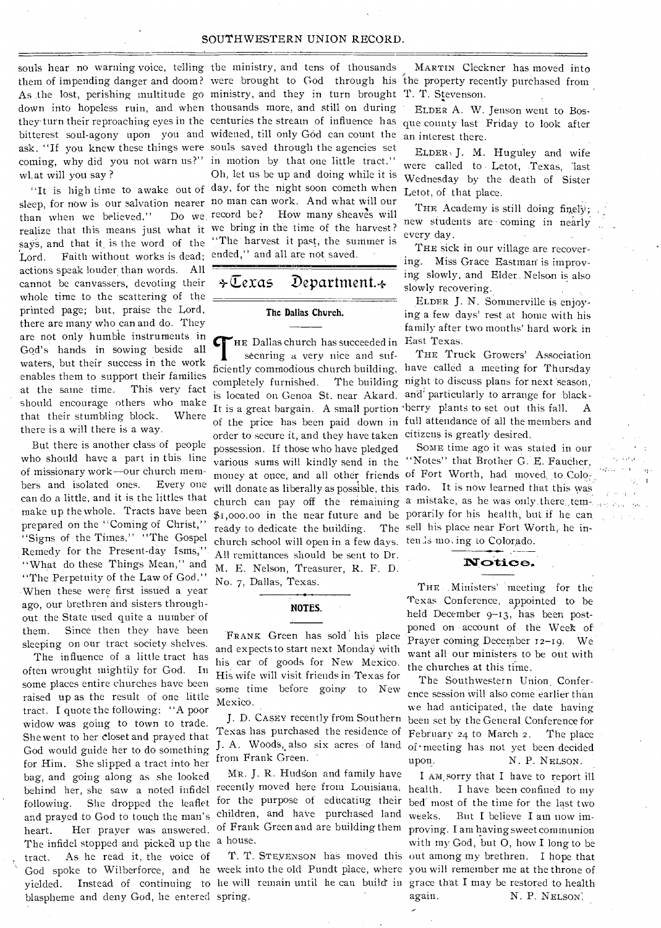### SOUTHWESTERN UNION RECORD.

souls hear no warning voice, telling the ministry, and tens of thousands what will you say ?

sleep, for now is our salvation nearer no man can work. And what will our than when we believed." Lord. Faith without works is dead; ended," and all are not saved. actions speak louder than words. All cannot be canvassers, devoting their whole time to the scattering of the printed page; but, praise the Lord, there are many who can and do. They are not only humble instruments in God's hands in sowing beside all waters, but their success in the work enables them to support their families at the same time. This very fact should encourage others who make that their stumbling block. Where there is a will there is a way.

But there is another class of people who should have a part in this line of missionary work—our church members and isolated ones. Every one can do a little, and it is the littles that make up the whole. Tracts have been prepared on the "Coming of Christ," "Signs of the Times," "The Gospel Remedy for the Present-day Isms," "What do these Things Mean," and "The Perpetuity of the Law of God." When these were first issued a year ago, our brethren and sisters throughout the State used quite a number of them. Since then they have been sleeping on our tract society shelves.

The influence of a little tract has often wrought mightily for God. In some places entire churches have been raised up as the result of one little tract. I quote the following: "A poor widow was going to town to trade. She went to her closet and prayed that God would guide her to do something for Him. She slipped a tract into her bag, and going along as she looked following. She dropped the leaflet and prayed to God to touch the man's heart. Her prayer was answered. The infidel stopped and picked up the a house. tract. As he read it, the voice of blaspheme and deny God, he entered spring.

them of impending danger and doom? were brought to God through his the property recently purchased from As .the lost, perishing multitude go ministry, and they in turn brought T. T. Stevenson. down into hopeless ruin, and when thousands more, and still on during they- turn their reproaching eyes in the centuries the stream of influence has bitterest soul-agony upon you and widened, till only God can count the ask, "If you knew these things were souls saved through the agencies set coming, why did you not warn us?" in motion by that one little tract." "It is high time to awake out of day, for the night soon cometh when realize that this means just what it we bring in the time of the harvest? says, and that it is the word of the "The harvest it past, the summer is Oh, let us be up and doing while it is Do we record be? How many sheaves will

 $\div\overline{\mathbb{C}}$ exas Department. $\div$ 

#### **The Dallas Church.**

HE Dallas church has succeeded in East Texas. securing a very nice and sufficiently commodious church building, have called a meeting for Thursday completely furnished. The building night to discuss plans for next season, is located on Genoa St. near Akard. and' particularly to arrange for black- It is a great bargain. A small portion berry plants to set out this fall. A of the price has been paid down in full attendance of all the members and order to secure it, and they have taken citizens is greatly desired. possession.. If those who have pledged various sums will kindly send in the "Notes" that Brother G. E. Faucher, money at once, and all other friends of Fort Worth, had moved...to.Colo<sub>rie</sub> will donate as liberally as possible, this rado. It is now learned that this was church can pay off the remaining a mistake, as he was only there tem-\$1,000.00 in the near future and be porarily for his health, but if he can. ready to dedicate the building. The sell his place near Fort Worth, he inchurch school will open in a few days. ten\_ls mo, ing to Colorado. All remittances should be sent to Dr. M. E. Nelson, Treasurer, R. F. D. No. 7, Dallas, Texas.

### **NOTES.**

'FRANK Green has sold' his place and expects to start next Monday with his car of goods for New Mexico. His wife will visit friends in-Texas for some time before going to New Mexico.

Texas has purchased the residence of J. A. Woods, also six acres of land from Frank Green. '

behind her, she saw a noted infidel recently moved here from Louisiana, Mr. J. R. Hudson and family have children, and have purchased land weeks. But I believe I am now imof Frank Green and are building them proving. I am having sweet communion

God spoke to Wilberforce, and he week into the old Pundt place, where you will remember the at the throne of yielded. Instead of continuing to he will remain until he can build' in grace that I may be restored to health

MARTIN Cleckner has moved into

ELDER A. W. Jenson went to Bosque county last Friday to look after an interest there.

ELDER, **J.** M. Huguley and wife were called to Letot, Texas, last Wednesday by the death of Sister Letot, of that place.

THE Academy is still doing finely; new students are coming in nearly every day:

THE sick in our village are recovering. Miss Grace Eastman is improving slowly, and Elder\_ Nelson is also slowly recovering.

ELDER J. N. Sommerville is enjoying a few days' rest at home with his family after two months' hard work in

THE Truck Growers' Association

SOME time ago it was stated in our

### Notice.

THE Ministers' meeting for the Texas Conference, appointed to be held December 9-13, has been postponed on account of the Week of Prayer coming December 12-19. We want all our ministers to be out with the churches at this time.

J. D. CASEY recently from Southern been set bv the General Conference for The Southwestern Union Conference session Will also come earlier than we had anticipated, the date having February 24 to March 2. The place of • meeting has not yet been decided upon. N. P. NELSON.

for the purpose of educating their bed most of the time for the last two T. T. STEYENSON has moved this out among my brethren. I hope that I AM.sorry that I have to report ill I have been confined to my with my God, but 0, how I long to be again. N. P. NELSON.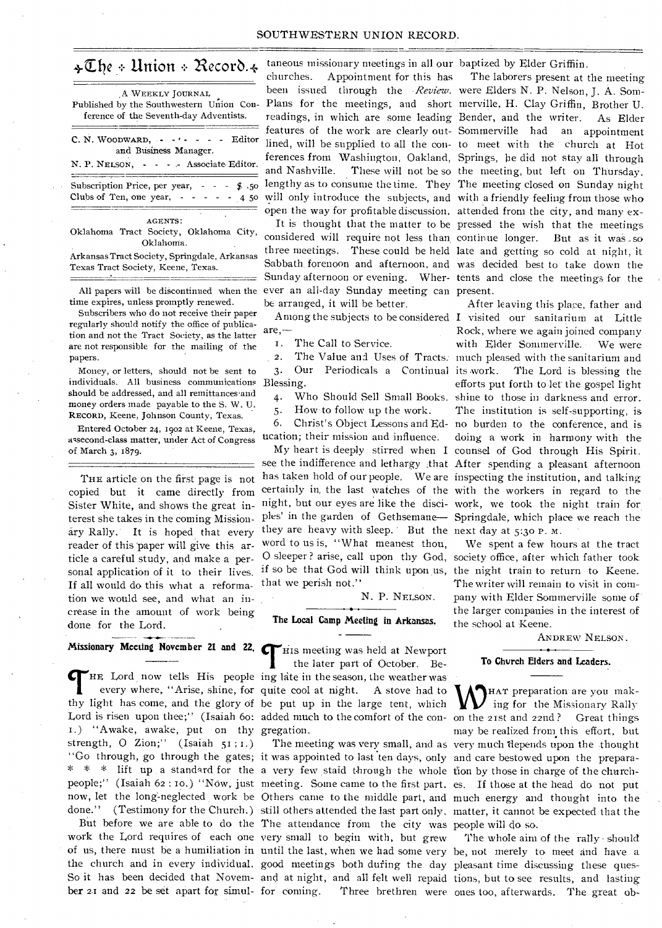### $\triangleleft\mathbb{U}$ he + Union + Record. $\triangleleft$

| A WEEKLY JOURNAL<br>Published by the Southwestern Union Con-<br>ference of the Seventh day Adventists.                  |
|-------------------------------------------------------------------------------------------------------------------------|
| $C. N. WooDWARD. \cdot \cdot \cdot \cdot - \cdot Edt$<br>and Business Manager.<br>N. P. NELSON, - - - Associate Editor. |
| Subscription Price, per year, $\cdot$ $\cdot$ $\cdot$ $\cdot$ $\cdot$ 50<br>Clubs of Ten, one year, $- - - - 4.50$      |
| <b>AGENTS:</b><br>Objetivní Tradí Casteley, Objetivní Obla                                                              |

Oklahoma Tract Society, Oklahoma City, Oklahoma.

Arkansas Tract Society, Springdale, Arkansas Texas Tract Society, Keene, Texas.

All papers will be discontinued when the time expires, unless promptly renewed.

Subscribers who do not receive their paper regularly should notify the office of publication and not the Tract Society, as the latter are not responsible for the mailing of the papers.

Money, or letters, should not be sent to individuals. All business communications Blessing. should be addressed, and all remittances and money orders made payable to the S. W. U. RECORD, Keene, Johnson County, Texas.

Entered October 24, 19oz at Keene, Texas, assecond-class matter, under Act of Congress of March 3, 1879.

THE article on the first page is not copied but it came directly from Sister White, and shows the great interest she takes in the coming MiSsionary Rally. It is hoped that every reader of this 'paper will give this article a careful study, and make a per-0 sleeper? arise, call upon thy God, society office, after which father took sonal application of it to their lives. if so be that God will think upon us, the night train to return to Keene. If all would do this what a reforma- that we perish not." tion we would see, and what an increase in the amount of work being done for the Lord.

### **Missionary Meeting November 21 and 22.**

thy light has come, and the glory of be put up in the large tent, which 1.) "Awake, awake, put on thy gregation. strength, 0 Zion;" (Isaiah 51 : 1.) "Go through, go through the gates; it was appointed to last ten days, only and care bestowed upon the prepara-\* \* \* lift up a standard for the a very few staid through the whole tion by those in charge of the church-

work the Lord requires of each one very small to begin with, but grew the church and in every individual. good meetings both dufing the day pleasant time discussing these ques-So it has been decided that Novem- and at night, and all felt well repaid tions, but to see results, and lasting

taneous missionary meetings in all our baptized by Elder Griffiin. churches. Appointment for this has been issued through the *Review*. were Elders N. P. Nelson, J. A. Som-

considered will require not less than continue longer. Sunday afternoon or evening. Wher-tents and close the meetings for the ever an all-day Sunday meeting can present. be arranged, it will be better.

are,—

. The Call to Service.

5. How to follow up the work.

ucation; their mission and influence.

they are heavy with sleep. But the next day at  $5:30$  P. M. word to us is, "What meanest thou,

N. P. NELSON.

### **The Local Camp Meeting in Arkansas.**

THE Lord now tells His people ing late in the season, the weather was<br>every where, "Arise, shine, for quite cool at night. A stove had to<br>the light has some and the slame of he and an in the laws tool at high every where, "Arise, shine, for quite cool at night. A stove had to His meeting was held at Newport the later part of October. Be-

But before we are able to do the The attendance from the city was people will do so. ber 21 and 22 be set apart for simul-for coming. Three brethren were ones too, afterwards. The great ob-

Plans for the meetings, and short merville, H. Clay Griffin, Brother U. readings, in which are some leading Bender, and the writer. As Elder features of the work are clearly out-Sommerville had an appointment lined, will be supplied to all the con- to meet with the church at Hot ferences from Washington, Oakland, Springs, he did not stay all through and Nashville. These will not be so the meeting, but left on Thursday. lengthy as to consume the time. They The meeting closed on Sunday night will only introduce the subjects, and with a friendly feeling from those who open the way for profitable discussion. attended from the city, and many ex-It is thought that the matter to be pressed the wish that the meetings three meetings. These could he held late and getting so cold at night, it Sabbath, forenoon and afternoon, and was decided best to take down the The laborers present at the meeting But as it was .so

Among the subjects to be considered I visited our sanitarium at Little 2. The Value and Uses of Tracts. much pleased with the sanitarium and 3. Our Periodicals a Continual its work. The Lord is blessing the 4. Who Should Sell Small Books. shine to those in darkness and error. 6. Christ's Object Lessons and Ed-no burden to the conference, and is My heart is deeply stirred when I counsel of God through His Spirit. see the indifference and lethargy ;that After spending a pleasant afternoon has taken hold of our people. We are inspecting the institution, and talking certainly in, the last watches of the with the workers in regard to the night, but our eyes are like the disci-work, we took the night train for. ples' in the garden of Gethsemane— Springdale, which place we reach the After leaving this place, father and Rock, where we again joined company with Elder Sommerville. • We were efforts put forth to-let' the gospel light The institution is self-supporting, is doing a work in harmony with the

> We spent a few hours at the tract The writer will remain to visit in company with Elder Sommerville some of' the larger companies in the interest of the school at Keene.

> > ANDREW NELSON.

### **To Church Elders and Leaders.**

Lord is risen upon thee;" (Isaiah 60: added much to the comfort of the con- on the 21st and 22nd? Great things people;" (Isaiah 62:10.) "Now, just meeting. Some came to the first part. es. If those at the head do not put now, let the long-neglected work be Others came to the middle part, and much energy and thought into the done." (Testimony for the Church.) still others attended the last part only. matter, it cannot be expected that the The meeting was very small, and as very much depends upon the thought HAT preparation are you making for the Missionary Rally may be realized from this effort, but

of us, there must be a humiliation in until the last, when we had some very be, not merely to meet and have a The whole aim of the rally should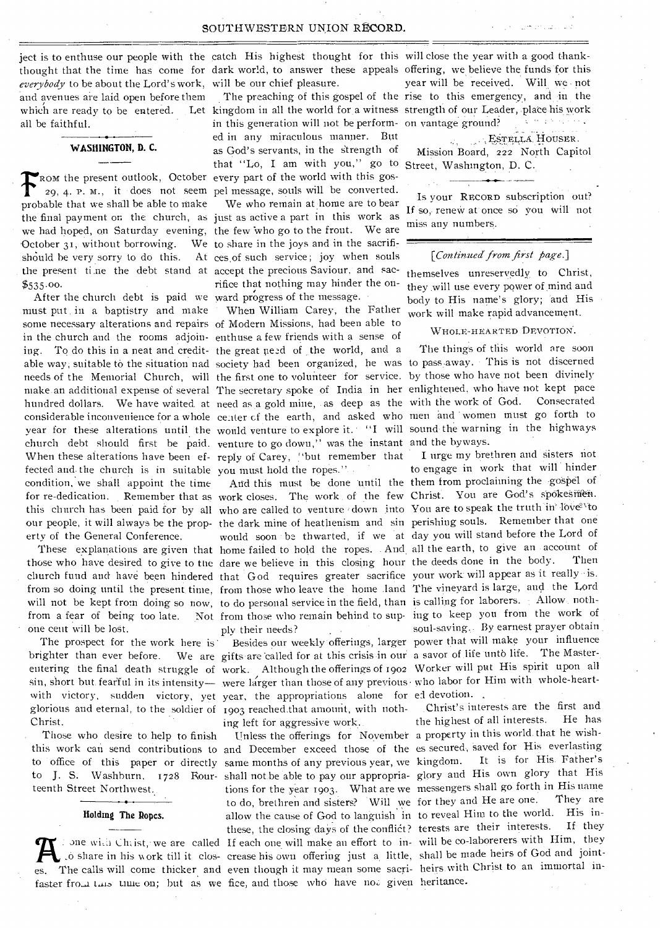*everybody* to be about the Lord's work, will be our chief pleasure. and avenues are laid open before them which are ready to be entered. Let kingdom in all the world for a witness strength of our Leader, place his work all be faithful.

WASHINGTON, D. C.

should be very sorry to do this. At ces of such service; joy when souls the present time the debt stand at accept the precious Saviour, and sac-FROM the present outlook, October every part of the world with this gos-<br>
29, 4, P. M., it does not seem pel message, souls will be converted. probable that we shall be able to make We who remain at home are to bear the final payment on the church, as just as active a part in this work as we had hoped, on Saturday evening, the few who go to the front. We are October  $31$ , without borrowing. We to share in the joys and in the sacrifi-

must put in a baptistry and make When William Carey, the Father some necessary alterations and repairs of Modern Missions, had been able to in the church and the rooms adjoin- enthuse a few friends with a sense of ing. To do this in a neat and credit- the great need of the world, and a able way; suitable to the situation nad society had been organized, he was to pass away. • This is not discerned needs of the Memorial Church, will the first one to volunteer for service. by those who have not been divinely make an additional expense of several The secretary spoke of India in her enlightened, who have not kept pace<br>hundred dollars. We have waited at need as a gold mine, as deep as the with the work of God. Consecrated hundred dollars. We have waited at need as a gold mine, as deep as the with the work of God. considerable inconvenience for a whole center of the earth, and asked who men and women must go forth to year for these alterations until the would venture to explore it. "I will sound the warning in the highways church debt should first be paid. venture to go down," was the instant and the byways.<br>When these alterations have been ef-reply of Carey. "but remember that I urge my brethren and sisters not When these alterations have been ef- reply of Carey, "but remember that I urge my brethren and sisters not fected and the church is in suitable vou must hold the ropes." to engage in work that will hinder fected and the church is in suitable you must hold the ropes." condition, we shall appoint the time Arid this must be done until the them from proclaiming the gospel of for re-dedication. Remember that as work closes. The work of the few Christ. You are God's spokesmen.

those who have desired to give to the dare we believe in this closing hour the deeds done in the body. church fund and have been hindered that God requires greater sacrifice your work will appear as it really -is. from so doing until the present time, from those who leave the home land The vineyard is large, and the Lord one cent will be lost.

glorious and eternal, to the soldier of 1903 reached that amount, with noth- Christ's interests are the first and The prospect for the work here is Christ.

Those who desire to help to finish teenth Street Northwest..

### Holding The Ropes.

ject is to enthuse our people with the catch His highest thought for this will close the year with a good thankthought that the time has come for dark world, to answer these appeals offering, we believe the funds for this

in this generation will not be perform-on vantage ground? ed in any miraculous manner. But as God's servants, in the Strength of that "Lo, I am with you," go to Street, Washington, D. C. 29, 4. P. M., it • does not seem pel message, souls will be converted.

rifice that nothing may hinder the on-\$535.00.<br>After the church debt is paid we ward progress of the message.

this church has been paid for by all who are called to venture down into You are to speak the truth in love to erty of the General Conference. would soon • be thwarted, if we at day you will stand before the Lord of These explanations are given that home failed to hold the ropes. . And, all the earth, to give an account of the hold of the deep who have desired to give to the deep me believe in this closing hour the deeds done in the b ply their needs?

with victory, sudden victory, yet year, the appropriations alone for ed devotion... 1903 reached that amount, with noth-<br>interests are the first and<br>ing left for aggressive work. the highest of all interests. He has

this work can send contributions to and December exceed those of the es secured, saved for His everlasting to office of this paper or directly same months of any previous year, we kingdom. It is for His. Father's to J. S. Washburn, 1728 Rour-shall not be able to pay our appropria- glory and His own glory that His tions for the year 1903. What are we messengers shall go forth in His name<br>to do brethren and sisters? Will we for they and He are one. They are to do, brethren and sisters? Will we for they and He are one. allow the cause of God to languish in to reveal Him to the world. His inthese, the closing days of the conflict? terests are their interests. one with Christ, we are called If each one will make an effort to in-will be co-laborerers with Him, they o share in his work till it clos- crease his own offering just a little, shall be made heirs of God and jointes. The calls will come thicker and even though it may mean some sacri- heirs with Christ to an immortal infaster from this time on; but as we fice, and those who have not given heritance.

year will be received. Will we not The preaching of this gospel of the rise to this emergency, and in the **Service** 

> ESTELLA HOUSER. Mission Board, 222 North Capitol

Is your RECORD subscription out? If so, renew at once so you will not miss any numbers.

### *[Continued' from first page.]*

themselves unreservedly to Christ, they will use every power of mind and body to His name's glory; and His work will make rapid advancement.

### WHOLE-HEARTED DEVOTION.

The things of this world are soon

our people, it will always be the prop- the dark mine of heathenism and sin perishing souls. Remember that one will not be kept from doing so now, to do personal service in the field, than is calling for laborers. Allow, nothfrom a fear of being too late. Not from those who remain behind to sup- ing to keep you from the work of soul-saving.,. By earnest prayer obtain . Besides our weekly offerings, larger power that will make your influence brighter than ever before. We are gifts are called for at this crisis in our a savor of life unto life. The Masterentering the final death struggle of work. Although the offerings of 1902 Worker will put His spirit upon all sin, short but fearful in its intensity— were larger than those of any previous who labor for Him with whole-heart-

Unless the offerings for November a property in this world, that he wish-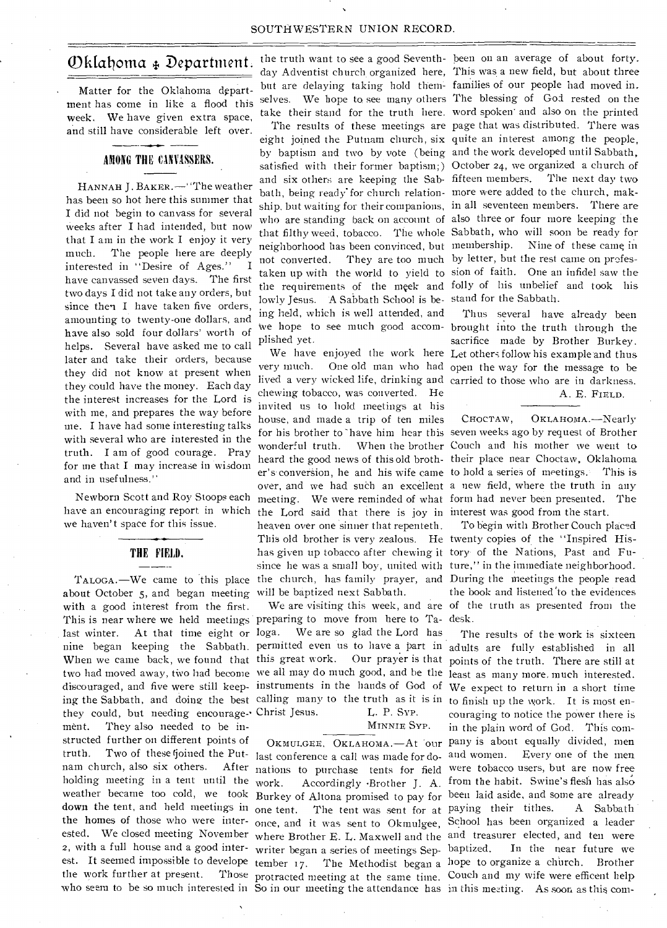## Oklahoma & Department.

Matter for the Oklahoma department has come in like a flood this week. We have given extra space, and still have considerable left over.

### AMONG THE CINVASSERS.

HANNAH J. BAKER.—' 'The weather has been so hot here this summer that I did not begin to canvass for several weeks after I had intended, but now that I am in the work I enjoy it very much. The people here are deeply interested in "Desire of Ages." have canvassed seven days. The first two days I did not take any orders, but since then I have taken five orders, amounting to twenty-one dollars, and have also sold four dollars' worth of helps. Several have asked me to call later and take their orders, because they did not know at present when they could have the money. Each day the interest increases for the Lord is with me, and prepares the way before me. I have had some interesting talks with several who are interested in the truth. I am of good courage. Pray for me that I may increase in wisdom and in usefulness."

Newborn Scott and Roy Stoops each have an encouraging report in which we haven't space for this issue.

# THE FIELD. ----

about October 5, and began meeting will be baptized next Sabbath. with a good interest from the first. This is near where we held meetings preparing to move from here to Ta- desk. last winter. At that time eight or loga. We are so glad the Lord has nine began keeping the Sabbath. permitted even us to have a part in adults are fully established in all When we came back, we found that this great work. Our prayer is that points of the truth. There are still at two had moved away, two had become we all may do much good, and he the least as many more, much interested. discouraged, and five were still keep-instruments in the hands of God of We expect to return in a short time ing the Sabbath, and doing the best calling many to the truth as it is in to finish up the work. It is most enthey could, but needing encourage-- Christ Jesus. L. P. SYP. ment. They also needed to be instructed further on different points of truth. Two of these (joined the Put-last conference a call was made for do-and women. Every one of the men nam church, also six others. After nations to purchase tents for field were tobacco users, but are now free holding meeting in a tent until the work. weather became too cold, we took Burkey of Altona promised to pay for been laid aside, and some are already down the tent, and held meetings in one tent. The tent was sent for at paying their tithes. A Sabbath the homes of those who were inter-once, and it was sent to Okmulgee, School has been organized a leader ested. We closed meeting November where Brother E. L. Maxwell and the and treasurer elected, and ten were 2, with a full house and a good inter-writer began a series of meetings Sepest. It seemed impossible to develope tember 17. The Methodist began a hope to organize a church. Brother the work further at present.

the truth want to see a good Seventh-been on an average of about forty.

satisfied with their former baptism;) October 24, we organized a church of bath, being ready'for church relation-more were added to the church, makneighborhood has been convinced, but membership. Nine of these came, in not converted. They are too much by letter, but the rest came on profeslowly Jesus. A Sabbath School is be-stand for the Sabbath. ing held, which is well attended, and plished yet.

TALOGA. We came to this place the church, has family prayer, and During the meetings the people read lived a very wicked life, drinking and carried to those who are in darkness. chewing tobacco, was converted. He invited us to hold meetings at his house, and made a trip of ten miles the Lord said that there is joy in interest was good from the start. heaven over one sinner that repenteth. This old brother is very zealous. He twenty copies of the "Inspired Hishas given up tobacco after chewing it tory of the Nations, Past and Fusince he was a small boy, united with ture," in the immediate neighborhood.

MINNIE SYP.

day Adventist church organized here, This was a new field, but about three but are delaying taking hold them- families of our people had moved in. selves. We hope to see many others The blessing of God rested on the take their stand for the truth here. word spoken' and also on the printed The results of these meetings are page that was distributed. There was eight joined the Putnam church, six quite an interest among the people, by baptism and two by vote (being and the work developed until Sabbath, and six others are keeping the Sab-fifteen members. The next day two ship. but waiting for their companions, in all seventeen members. There are who are standing back on account of also three or four more keeping the that filthy weed, tobacco. The whole Sabbath, who will soon be ready for taken up with the world to yield to sion of faith. One an infidel saw the the requirements of the meek and folly of his unbelief and took his

we hope to see much good accom-brought into the truth through the We have enjoyed the work here Let others follow his example and thus very much. One old man who had open the way for the message to be Thus several have already been sacrifice made by Brother Burkey.

### A. E. FIELD.

for his brother to have him hear this seven weeks ago by request of Brother wonderful truth. When the brother Couch and his mother we went to heard the good news of this old broth-their place near Choctaw, Oklahoma er's conversion, he and his wife came to hold a series of meetings. This is over, and we had such an excellent a new field, where the truth in any meeting. We were reminded of what form had never been presented. The CHOCTAW, OKLAHOMA.—Nearly

We are visiting this week, and are of the truth as presented from the To begin with Brother Couch placed the book and listened 'to the evidences

who seem to be so much interested in So in our meeting the attendance has in this meeting. As soon as this com-OKMULGEE, OKLAHOMA. - At our pany is about equally divided, men work. Accordingly 'Brother J. A. from the habit. Swine's flesh has also protracted meeting at the same time. Couch and my wife were efficent help The results of the work is sixteen couraging to notice the power there is in the plain word of God. This com-In the near future we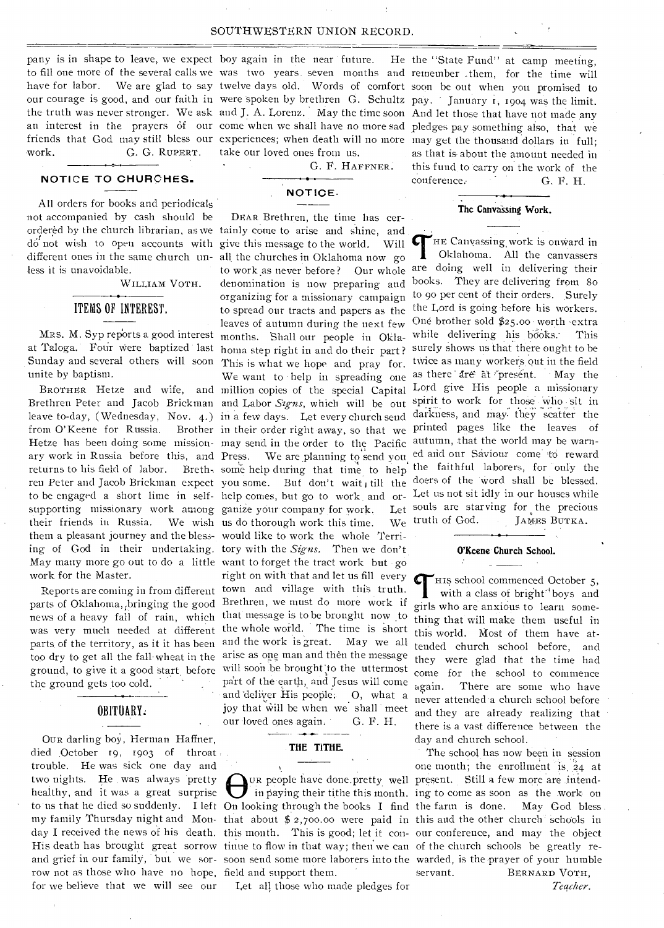### SOUTHWESTERN UNION RECORD.

pany is in shape to leave, we expect boy again in the near future. He work. G. G. RuPERT.

### **NOTICE TO CHURCHES.**

All orders for books and periodicals not accompanied by cash should be ordered by the church librarian, as we tainly come to arise and shine, and bracist by the entirem instanting as we tailing come to arise and since, and do not wish to open accounts with give this message to the world. Will different ones in the same church un-all, the churches in Oklahoma now go less it is unavoidable.

WILLIAM VOTH.

### ITEMS OF INTEREST.

MRS. M. Syp reports a good interest at Taloga. Four were baptized last Sunday and several others will soon unite by baptism.

from O'Keene for Russia. supporting missionary work among ganize your company for work. Let their friends in Russia. them a pleasant journey and the bless- would like to work the whole Terri-May many more go out to do a little want to forget the tract work but go work for the Master.

ground, to give it a good Start, before the ground gets too cold.

### OBITUARY:

OUR darling boy, Herman Haffner, died October 19, 1903 of throat trouble. He was sick one day and two nights. He was always 'pretty healthy, and it was a great surprise row not as those who have no hope, field and support them. for we believe that we will see our

to fill one more of the several calls we was two years, seven months and remember them, for the time will have for labor. We are glad to say twelve days old. Words of comfort soon be out when you promised to our courage is good, and our faith in were spoken by brethren G. Schultz pay. ' January r, 1904 was the limit. the truth was never stronger. We ask and **J.** A. Lorenz. May the time soon And let those that have not made any an interest in the prayers of our come when we shall have no more sad pledges pay something also, that we friends that God may still bless our experiences; when death will no more may get the thousand dollars in full; take our loved ones from us.

G. F. HAFFNER.

### **NOTICE•**

ing of God in their undertaking. tory with the *Signs*. Then we don't.<br>May many more go out to do a little want to forget the tract work but go Reports are coming in from different town and village with this truth. parts of Oklahoma, bringing the good Brethren, we must do more work if news of a heavy fall of rain, which that message is to be brought now to was very much needed at different the whole world. The time is short parts of the territory, as it it has been and the work is great. May we all too dry to get all the fall wheat in the arise as one man and then the message DEAR Brethren, the time has certo work as never before? Our whole We wish us do thorough work this time. right on with that and let us fill every will soon be brought to the uttermost part of the earth, and Jesus will come and deliver His people. O, what a joy that will be when we shall meet our loved ones again. G. F. H.

### **THE TITHE.**

Let all those who made pledges for

the "State Fund" at camp meeting, as that is about the amount needed in this fund to carry on the work of the conference. **G. F. H.** 

### The Canvassing Work.

BROTHER Hetze and wife, and million copies of the special Capital Lord give His people a missionary Brethren Peter and Jacob Brickman and Labor *Signs*, which will be out spirit to work for those who sit in leave to-day, (Wednesday, Nov. 4.) in a few days. Let every church send darkness, and may they scatter the Hetze has been doing some mission- may send in the order to the Pacific autumn, that the world may be warnary work in Russia before this, and Press. We are planning to send you ed and our Saviour come to reward returns to his field of labor. Breth-, some help during that time to help the faithful laborers, for only the ren Peter and Jacob Brickman expect you some. But don't wait, till the doers of the word shall be blessed. to be engaged a short lime in self- help comes, but go to work and or- Let us not sit idly in our houses while denomination is now preparing and books. They are delivering from 8o organizing for a missionary campaign to 90 per cent of their orders. Surely to spread our tracts and papers as the the Lord is going before his workers. leaves of autumn during the next few One brother sold \$25.00 worth extra heaves of autumn during the next few one counter sets payon worth early homa step right in and do their part? Surely shows us that there ought to be This is what we hope and pray for. twice as many workers out in the field We want to help in spreading one as there are at present. May the in their order right away, so that we printed pages like the leaves of THE Canvassing work is onward in<br>Oklahoma. All the canvassers<br>are doing well in delivering their HE Canvassing work is onward in Oklahoma. All the canvassers Let souls are starving for the precious We truth of God. JAMES BUTKA.

### **O'Keene Church School.**

Cr His school commenced October 5, with a class of bright<sup>-{1}</sup> boys and girls who are anxious to learn something that will make them useful in this world. Most of them have attended church school before, and they were glad that the time had come for the school to commence again. There are some who have never attended a church school before and they are already realizing that there is a vast difference between the day and church school.

to us that he died so suddenly. I left On looking through the books I find the farm is done. May God bless. my family Thursday night and Mon-that about \$ 2,700.00 were paid in this and the other church schools in day I received the news of his death. this month. This is good; let it con-our conference, and may the object His death has brought great sorrow tinue to flow in that way; then we can of the church schools be greatly reand grief in our family, but we sor-soon send some more laborers into the warded, is the prayer of your humble UR people have done.pretty well present. Still a few more are intendin paying their tithe this month. ing to come as soon as the work on The school has now been in session one month; the enrollment is  $24$  at servant. BERNARD VOTH,

*Teacher.*